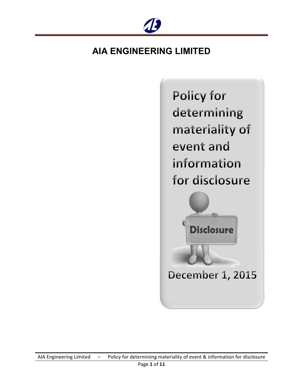

**Policy for** determining materiality of event and information for disclosure **Disclosure** December 1, 2015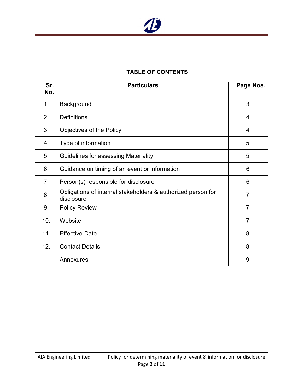

# **TABLE OF CONTENTS**

| Sr.<br>No.     | <b>Particulars</b>                                                         | Page Nos.      |
|----------------|----------------------------------------------------------------------------|----------------|
| 1 <sub>1</sub> | Background                                                                 | 3              |
| 2.             | <b>Definitions</b>                                                         | $\overline{4}$ |
| 3.             | Objectives of the Policy                                                   | 4              |
| 4.             | Type of information                                                        | 5              |
| 5.             | Guidelines for assessing Materiality                                       | 5              |
| 6.             | Guidance on timing of an event or information                              | 6              |
| 7.             | Person(s) responsible for disclosure                                       | 6              |
| 8.             | Obligations of internal stakeholders & authorized person for<br>disclosure | $\overline{7}$ |
| 9.             | <b>Policy Review</b>                                                       | $\overline{7}$ |
| 10.            | Website                                                                    | $\overline{7}$ |
| 11.            | <b>Effective Date</b>                                                      | 8              |
| 12.            | <b>Contact Details</b>                                                     | 8              |
|                | Annexures                                                                  | 9              |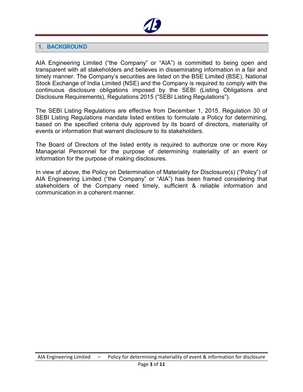

## **1. BACKGROUND**

AIA Engineering Limited ("the Company" or "AIA") is committed to being open and transparent with all stakeholders and believes in disseminating information in a fair and timely manner. The Company's securities are listed on the BSE Limited (BSE), National Stock Exchange of India Limited (NSE) and the Company is required to comply with the continuous disclosure obligations imposed by the SEBI (Listing Obligations and Disclosure Requirements), Regulations 2015 ("SEBI Listing Regulations").

The SEBI Listing Regulations are effective from December 1, 2015. Regulation 30 of SEBI Listing Regulations mandate listed entities to formulate a Policy for determining, based on the specified criteria duly approved by its board of directors, materiality of events or information that warrant disclosure to its stakeholders.

The Board of Directors of the listed entity is required to authorize one or more Key Managerial Personnel for the purpose of determining materiality of an event or information for the purpose of making disclosures.

In view of above, the Policy on Determination of Materiality for Disclosure(s) ("Policy") of AIA Engineering Limited ("the Company" or "AIA") has been framed considering that stakeholders of the Company need timely, sufficient & reliable information and communication in a coherent manner.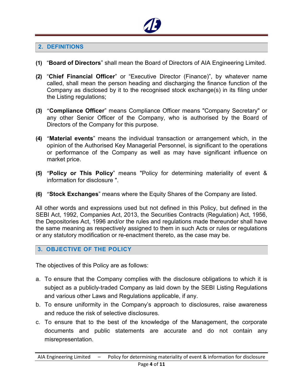

# **2. DEFINITIONS**

- **(1)** "**Board of Directors**" shall mean the Board of Directors of AIA Engineering Limited.
- **(2)** "**Chief Financial Officer**" or "Executive Director (Finance)", by whatever name called, shall mean the person heading and discharging the finance function of the Company as disclosed by it to the recognised stock exchange(s) in its filing under the Listing regulations;
- **(3)** "**Compliance Officer**" means Compliance Officer means "Company Secretary" or any other Senior Officer of the Company, who is authorised by the Board of Directors of the Company for this purpose.
- **(4)** "**Material events**" means the individual transaction or arrangement which, in the opinion of the Authorised Key Managerial Personnel, is significant to the operations or performance of the Company as well as may have significant influence on market price.
- **(5)** "**Policy or This Policy**" means "Policy for determining materiality of event & information for disclosure ".
- **(6)** "**Stock Exchanges**" means where the Equity Shares of the Company are listed.

All other words and expressions used but not defined in this Policy, but defined in the SEBI Act, 1992, Companies Act, 2013, the Securities Contracts (Regulation) Act, 1956, the Depositories Act, 1996 and/or the rules and regulations made thereunder shall have the same meaning as respectively assigned to them in such Acts or rules or regulations or any statutory modification or re-enactment thereto, as the case may be.

## **3. OBJECTIVE OF THE POLICY**

The objectives of this Policy are as follows:

- a. To ensure that the Company complies with the disclosure obligations to which it is subject as a publicly-traded Company as laid down by the SEBI Listing Regulations and various other Laws and Regulations applicable, if any.
- b. To ensure uniformity in the Company's approach to disclosures, raise awareness and reduce the risk of selective disclosures.
- c. To ensure that to the best of the knowledge of the Management, the corporate documents and public statements are accurate and do not contain any misrepresentation.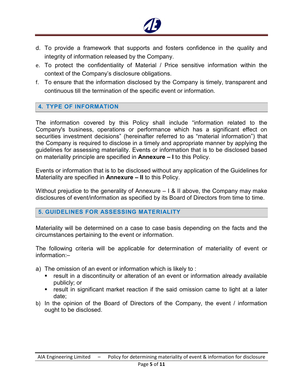

- d. To provide a framework that supports and fosters confidence in the quality and integrity of information released by the Company.
- e. To protect the confidentiality of Material / Price sensitive information within the context of the Company's disclosure obligations.
- f. To ensure that the information disclosed by the Company is timely, transparent and continuous till the termination of the specific event or information.

### **4. TYPE OF INFORMATION**

The information covered by this Policy shall include "information related to the Company's business, operations or performance which has a significant effect on securities investment decisions" (hereinafter referred to as "material information") that the Company is required to disclose in a timely and appropriate manner by applying the guidelines for assessing materiality. Events or information that is to be disclosed based on materiality principle are specified in **Annexure – I** to this Policy.

Events or information that is to be disclosed without any application of the Guidelines for Materiality are specified in **Annexure – II** to this Policy.

Without prejudice to the generality of Annexure  $-1$  & II above, the Company may make disclosures of event/information as specified by its Board of Directors from time to time.

### **5. GUIDELINES FOR ASSESSING MATERIALITY**

Materiality will be determined on a case to case basis depending on the facts and the circumstances pertaining to the event or information.

The following criteria will be applicable for determination of materiality of event or information:–

- a) The omission of an event or information which is likely to :
	- result in a discontinuity or alteration of an event or information already available publicly; or
	- **Figure 1** result in significant market reaction if the said omission came to light at a later date;
- b) In the opinion of the Board of Directors of the Company, the event / information ought to be disclosed.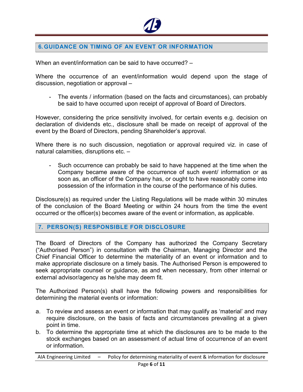

# **6. GUIDANCE ON TIMING OF AN EVENT OR INFORMATION**

When an event/information can be said to have occurred? -

Where the occurrence of an event/information would depend upon the stage of discussion, negotiation or approval –

- The events / information (based on the facts and circumstances), can probably be said to have occurred upon receipt of approval of Board of Directors.

However, considering the price sensitivity involved, for certain events e.g. decision on declaration of dividends etc., disclosure shall be made on receipt of approval of the event by the Board of Directors, pending Shareholder's approval.

Where there is no such discussion, negotiation or approval required viz. in case of natural calamities, disruptions etc. –

- Such occurrence can probably be said to have happened at the time when the Company became aware of the occurrence of such event/ information or as soon as, an officer of the Company has, or ought to have reasonably come into possession of the information in the course of the performance of his duties.

Disclosure(s) as required under the Listing Regulations will be made within 30 minutes of the conclusion of the Board Meeting or within 24 hours from the time the event occurred or the officer(s) becomes aware of the event or information, as applicable.

### **7. PERSON(S) RESPONSIBLE FOR DISCLOSURE**

The Board of Directors of the Company has authorized the Company Secretary ("Authorised Person") in consultation with the Chairman, Managing Director and the Chief Financial Officer to determine the materiality of an event or information and to make appropriate disclosure on a timely basis. The Authorised Person is empowered to seek appropriate counsel or guidance, as and when necessary, from other internal or external advisor/agency as he/she may deem fit.

The Authorized Person(s) shall have the following powers and responsibilities for determining the material events or information:

- a. To review and assess an event or information that may qualify as 'material' and may require disclosure, on the basis of facts and circumstances prevailing at a given point in time.
- b. To determine the appropriate time at which the disclosures are to be made to the stock exchanges based on an assessment of actual time of occurrence of an event or information.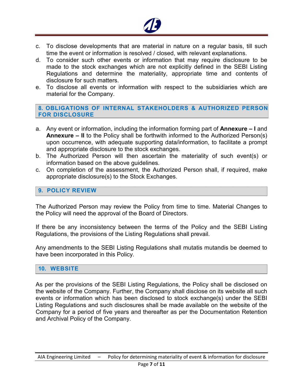

- c. To disclose developments that are material in nature on a regular basis, till such time the event or information is resolved / closed, with relevant explanations.
- d. To consider such other events or information that may require disclosure to be made to the stock exchanges which are not explicitly defined in the SEBI Listing Regulations and determine the materiality, appropriate time and contents of disclosure for such matters.
- e. To disclose all events or information with respect to the subsidiaries which are material for the Company.

# **8. OBLIGATIONS OF INTERNAL STAKEHOLDERS & AUTHORIZED PERSON FOR DISCLOSURE**

- a. Any event or information, including the information forming part of **Annexure I** and **Annexure – II** to the Policy shall be forthwith informed to the Authorized Person(s) upon occurrence, with adequate supporting data/information, to facilitate a prompt and appropriate disclosure to the stock exchanges.
- b. The Authorized Person will then ascertain the materiality of such event(s) or information based on the above guidelines.
- c. On completion of the assessment, the Authorized Person shall, if required, make appropriate disclosure(s) to the Stock Exchanges.

# **9. POLICY REVIEW**

The Authorized Person may review the Policy from time to time. Material Changes to the Policy will need the approval of the Board of Directors.

If there be any inconsistency between the terms of the Policy and the SEBI Listing Regulations, the provisions of the Listing Regulations shall prevail.

Any amendments to the SEBI Listing Regulations shall mutatis mutandis be deemed to have been incorporated in this Policy.

### **10. WEBSITE**

As per the provisions of the SEBI Listing Regulations, the Policy shall be disclosed on the website of the Company. Further, the Company shall disclose on its website all such events or information which has been disclosed to stock exchange(s) under the SEBI Listing Regulations and such disclosures shall be made available on the website of the Company for a period of five years and thereafter as per the Documentation Retention and Archival Policy of the Company.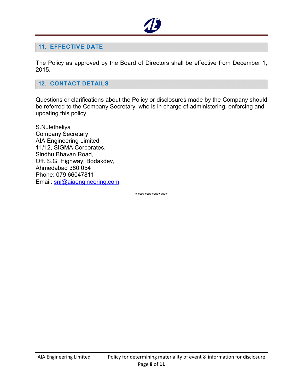

#### **11. EFFECTIVE DATE**

The Policy as approved by the Board of Directors shall be effective from December 1, 2015.

#### **12. CONTACT DETAILS**

Questions or clarifications about the Policy or disclosures made by the Company should be referred to the Company Secretary, who is in charge of administering, enforcing and updating this policy.

S.N.Jetheliya Company Secretary AIA Engineering Limited 11/12, SIGMA Corporates, Sindhu Bhavan Road, Off. S.G. Highway, Bodakdev, Ahmedabad 380 054 Phone: 079 66047811 Email: snj@aiaengineering.com

\*\*\*\*\*\*\*\*\*\*\*\*\*\*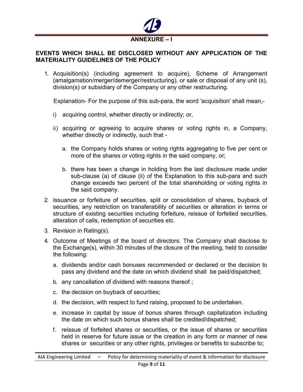

# **EVENTS WHICH SHALL BE DISCLOSED WITHOUT ANY APPLICATION OF THE MATERIALITY GUIDELINES OF THE POLICY**

1. Acquisition(s) (including agreement to acquire), Scheme of Arrangement (amalgamation/merger/demerger/restructuring), or sale or disposal of any unit (s), division(s) or subsidiary of the Company or any other restructuring.

Explanation- For the purpose of this sub-para, the word 'acquisition' shall mean,-

- i) acquiring control, whether directly or indirectly; or,
- ii) acquiring or agreeing to acquire shares or voting rights in, a Company, whether directly or indirectly, such that
	- a. the Company holds shares or voting rights aggregating to five per cent or more of the shares or voting rights in the said company, or;
	- b. there has been a change in holding from the last disclosure made under sub-clause (a) of clause (ii) of the Explanation to this sub-para and such change exceeds two percent of the total shareholding or voting rights in the said company.
- 2. Issuance or forfeiture of securities, split or consolidation of shares, buyback of securities, any restriction on transferability of securities or alteration in terms or structure of existing securities including forfeiture, reissue of forfeited securities, alteration of calls, redemption of securities etc.
- 3. Revision in Rating(s).
- 4. Outcome of Meetings of the board of directors: The Company shall disclose to the Exchange(s), within 30 minutes of the closure of the meeting, held to consider the following:
	- a. dividends and/or cash bonuses recommended or declared or the decision to pass any dividend and the date on which dividend shall be paid/dispatched;
	- b. any cancellation of dividend with reasons thereof ;
	- c. the decision on buyback of securities;
	- d. the decision, with respect to fund raising, proposed to be undertaken.
	- e. increase in capital by issue of bonus shares through capitalization including the date on which such bonus shares shall be credited/dispatched;
	- f. reissue of forfeited shares or securities, or the issue of shares or securities held in reserve for future issue or the creation in any form or manner of new shares or securities or any other rights, privileges or benefits to subscribe to;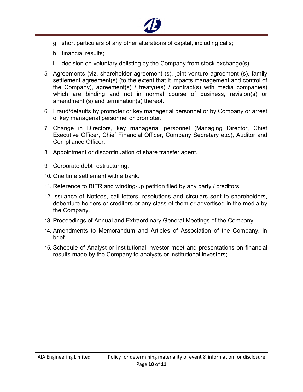

- g. short particulars of any other alterations of capital, including calls;
- h. financial results;
- i. decision on voluntary delisting by the Company from stock exchange(s).
- 5. Agreements (viz. shareholder agreement (s), joint venture agreement (s), family settlement agreement(s) (to the extent that it impacts management and control of the Company), agreement(s) / treaty(ies) / contract(s) with media companies) which are binding and not in normal course of business, revision(s) or amendment (s) and termination(s) thereof.
- 6. Fraud/defaults by promoter or key managerial personnel or by Company or arrest of key managerial personnel or promoter.
- 7. Change in Directors, key managerial personnel (Managing Director, Chief Executive Officer, Chief Financial Officer, Company Secretary etc.), Auditor and Compliance Officer.
- 8. Appointment or discontinuation of share transfer agent.
- 9. Corporate debt restructuring.
- 10. One time settlement with a bank.
- 11. Reference to BIFR and winding-up petition filed by any party / creditors.
- 12. Issuance of Notices, call letters, resolutions and circulars sent to shareholders, debenture holders or creditors or any class of them or advertised in the media by the Company.
- 13. Proceedings of Annual and Extraordinary General Meetings of the Company.
- 14. Amendments to Memorandum and Articles of Association of the Company, in brief.
- 15. Schedule of Analyst or institutional investor meet and presentations on financial results made by the Company to analysts or institutional investors;